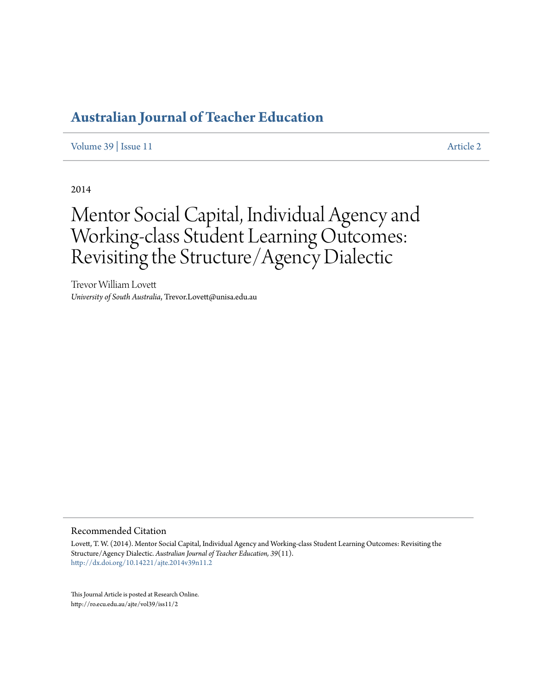## **[Australian Journal of Teacher Education](http://ro.ecu.edu.au/ajte)**

[Volume 39](http://ro.ecu.edu.au/ajte/vol39) | [Issue 11](http://ro.ecu.edu.au/ajte/vol39/iss11) [Article 2](http://ro.ecu.edu.au/ajte/vol39/iss11/2)

2014

# Mentor Social Capital, Individual Agency and Working-class Student Learning Outcomes: Revisiting the Structure/Agency Dialectic

Trevor William Lovett *University of South Australia*, Trevor.Lovett@unisa.edu.au

#### Recommended Citation

Lovett, T. W. (2014). Mentor Social Capital, Individual Agency and Working-class Student Learning Outcomes: Revisiting the Structure/Agency Dialectic. *Australian Journal of Teacher Education, 39*(11). <http://dx.doi.org/10.14221/ajte.2014v39n11.2>

This Journal Article is posted at Research Online. http://ro.ecu.edu.au/ajte/vol39/iss11/2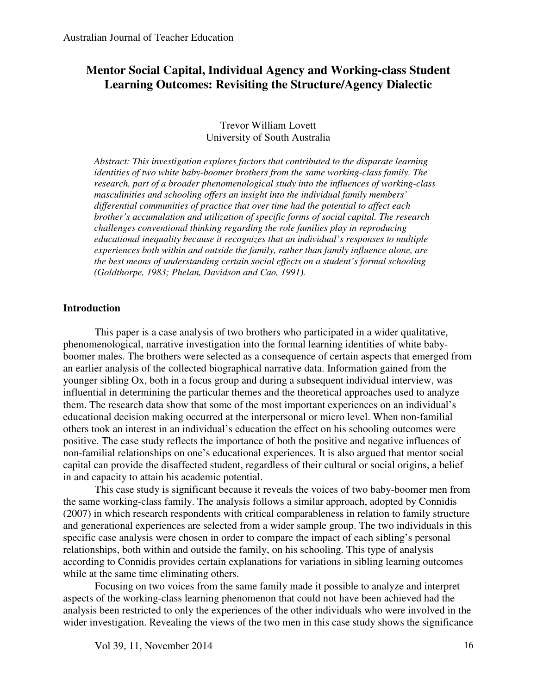### **Mentor Social Capital, Individual Agency and Working-class Student Learning Outcomes: Revisiting the Structure/Agency Dialectic**

#### Trevor William Lovett University of South Australia

*Abstract: This investigation explores factors that contributed to the disparate learning identities of two white baby-boomer brothers from the same working-class family. The research, part of a broader phenomenological study into the influences of working-class masculinities and schooling offers an insight into the individual family members' differential communities of practice that over time had the potential to affect each brother's accumulation and utilization of specific forms of social capital. The research challenges conventional thinking regarding the role families play in reproducing educational inequality because it recognizes that an individual's responses to multiple experiences both within and outside the family, rather than family influence alone, are the best means of understanding certain social effects on a student's formal schooling (Goldthorpe, 1983; Phelan, Davidson and Cao, 1991).* 

#### **Introduction**

 This paper is a case analysis of two brothers who participated in a wider qualitative, phenomenological, narrative investigation into the formal learning identities of white babyboomer males. The brothers were selected as a consequence of certain aspects that emerged from an earlier analysis of the collected biographical narrative data. Information gained from the younger sibling Ox, both in a focus group and during a subsequent individual interview, was influential in determining the particular themes and the theoretical approaches used to analyze them. The research data show that some of the most important experiences on an individual's educational decision making occurred at the interpersonal or micro level. When non-familial others took an interest in an individual's education the effect on his schooling outcomes were positive. The case study reflects the importance of both the positive and negative influences of non-familial relationships on one's educational experiences. It is also argued that mentor social capital can provide the disaffected student, regardless of their cultural or social origins, a belief in and capacity to attain his academic potential.

 This case study is significant because it reveals the voices of two baby-boomer men from the same working-class family. The analysis follows a similar approach, adopted by Connidis (2007) in which research respondents with critical comparableness in relation to family structure and generational experiences are selected from a wider sample group. The two individuals in this specific case analysis were chosen in order to compare the impact of each sibling's personal relationships, both within and outside the family, on his schooling. This type of analysis according to Connidis provides certain explanations for variations in sibling learning outcomes while at the same time eliminating others.

 Focusing on two voices from the same family made it possible to analyze and interpret aspects of the working-class learning phenomenon that could not have been achieved had the analysis been restricted to only the experiences of the other individuals who were involved in the wider investigation. Revealing the views of the two men in this case study shows the significance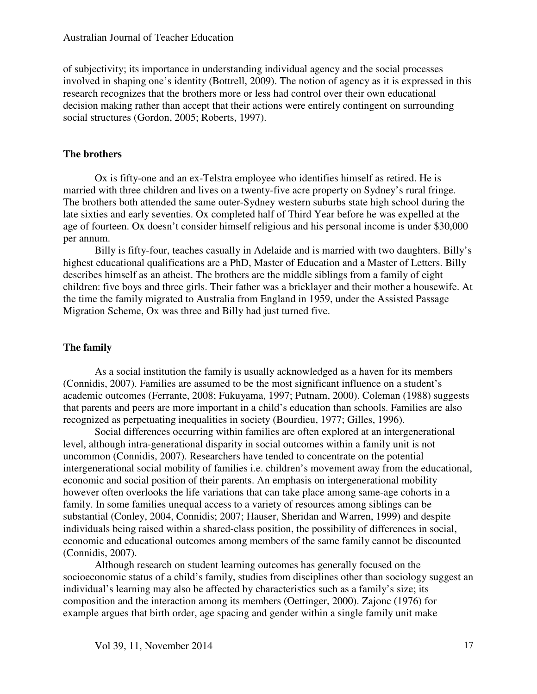#### Australian Journal of Teacher Education

of subjectivity; its importance in understanding individual agency and the social processes involved in shaping one's identity (Bottrell, 2009). The notion of agency as it is expressed in this research recognizes that the brothers more or less had control over their own educational decision making rather than accept that their actions were entirely contingent on surrounding social structures (Gordon, 2005; Roberts, 1997).

#### **The brothers**

Ox is fifty-one and an ex-Telstra employee who identifies himself as retired. He is married with three children and lives on a twenty-five acre property on Sydney's rural fringe. The brothers both attended the same outer-Sydney western suburbs state high school during the late sixties and early seventies. Ox completed half of Third Year before he was expelled at the age of fourteen. Ox doesn't consider himself religious and his personal income is under \$30,000 per annum.

 Billy is fifty-four, teaches casually in Adelaide and is married with two daughters. Billy's highest educational qualifications are a PhD, Master of Education and a Master of Letters. Billy describes himself as an atheist. The brothers are the middle siblings from a family of eight children: five boys and three girls. Their father was a bricklayer and their mother a housewife. At the time the family migrated to Australia from England in 1959, under the Assisted Passage Migration Scheme, Ox was three and Billy had just turned five.

#### **The family**

 As a social institution the family is usually acknowledged as a haven for its members (Connidis, 2007). Families are assumed to be the most significant influence on a student's academic outcomes (Ferrante, 2008; Fukuyama, 1997; Putnam, 2000). Coleman (1988) suggests that parents and peers are more important in a child's education than schools. Families are also recognized as perpetuating inequalities in society (Bourdieu, 1977; Gilles, 1996).

 Social differences occurring within families are often explored at an intergenerational level, although intra-generational disparity in social outcomes within a family unit is not uncommon (Connidis, 2007). Researchers have tended to concentrate on the potential intergenerational social mobility of families i.e. children's movement away from the educational, economic and social position of their parents. An emphasis on intergenerational mobility however often overlooks the life variations that can take place among same-age cohorts in a family. In some families unequal access to a variety of resources among siblings can be substantial (Conley, 2004, Connidis; 2007; Hauser, Sheridan and Warren, 1999) and despite individuals being raised within a shared-class position, the possibility of differences in social, economic and educational outcomes among members of the same family cannot be discounted (Connidis, 2007).

 Although research on student learning outcomes has generally focused on the socioeconomic status of a child's family, studies from disciplines other than sociology suggest an individual's learning may also be affected by characteristics such as a family's size; its composition and the interaction among its members (Oettinger, 2000). Zajonc (1976) for example argues that birth order, age spacing and gender within a single family unit make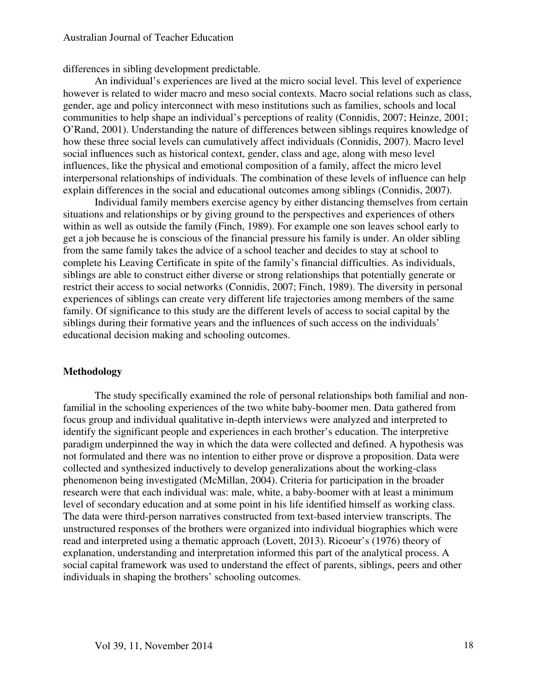differences in sibling development predictable.

 An individual's experiences are lived at the micro social level. This level of experience however is related to wider macro and meso social contexts. Macro social relations such as class, gender, age and policy interconnect with meso institutions such as families, schools and local communities to help shape an individual's perceptions of reality (Connidis, 2007; Heinze, 2001; O'Rand, 2001). Understanding the nature of differences between siblings requires knowledge of how these three social levels can cumulatively affect individuals (Connidis, 2007). Macro level social influences such as historical context, gender, class and age, along with meso level influences, like the physical and emotional composition of a family, affect the micro level interpersonal relationships of individuals. The combination of these levels of influence can help explain differences in the social and educational outcomes among siblings (Connidis, 2007).

 Individual family members exercise agency by either distancing themselves from certain situations and relationships or by giving ground to the perspectives and experiences of others within as well as outside the family (Finch, 1989). For example one son leaves school early to get a job because he is conscious of the financial pressure his family is under. An older sibling from the same family takes the advice of a school teacher and decides to stay at school to complete his Leaving Certificate in spite of the family's financial difficulties. As individuals, siblings are able to construct either diverse or strong relationships that potentially generate or restrict their access to social networks (Connidis, 2007; Finch, 1989). The diversity in personal experiences of siblings can create very different life trajectories among members of the same family. Of significance to this study are the different levels of access to social capital by the siblings during their formative years and the influences of such access on the individuals' educational decision making and schooling outcomes.

#### **Methodology**

 The study specifically examined the role of personal relationships both familial and nonfamilial in the schooling experiences of the two white baby-boomer men. Data gathered from focus group and individual qualitative in-depth interviews were analyzed and interpreted to identify the significant people and experiences in each brother's education. The interpretive paradigm underpinned the way in which the data were collected and defined. A hypothesis was not formulated and there was no intention to either prove or disprove a proposition. Data were collected and synthesized inductively to develop generalizations about the working-class phenomenon being investigated (McMillan, 2004). Criteria for participation in the broader research were that each individual was: male, white, a baby-boomer with at least a minimum level of secondary education and at some point in his life identified himself as working class. The data were third-person narratives constructed from text-based interview transcripts. The unstructured responses of the brothers were organized into individual biographies which were read and interpreted using a thematic approach (Lovett, 2013). Ricoeur's (1976) theory of explanation, understanding and interpretation informed this part of the analytical process. A social capital framework was used to understand the effect of parents, siblings, peers and other individuals in shaping the brothers' schooling outcomes.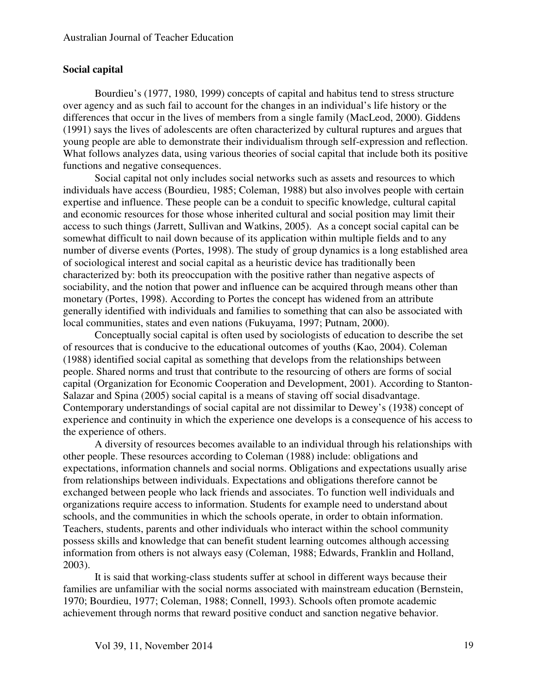#### **Social capital**

 Bourdieu's (1977, 1980, 1999) concepts of capital and habitus tend to stress structure over agency and as such fail to account for the changes in an individual's life history or the differences that occur in the lives of members from a single family (MacLeod, 2000). Giddens (1991) says the lives of adolescents are often characterized by cultural ruptures and argues that young people are able to demonstrate their individualism through self-expression and reflection. What follows analyzes data, using various theories of social capital that include both its positive functions and negative consequences.

 Social capital not only includes social networks such as assets and resources to which individuals have access (Bourdieu, 1985; Coleman, 1988) but also involves people with certain expertise and influence. These people can be a conduit to specific knowledge, cultural capital and economic resources for those whose inherited cultural and social position may limit their access to such things (Jarrett, Sullivan and Watkins, 2005). As a concept social capital can be somewhat difficult to nail down because of its application within multiple fields and to any number of diverse events (Portes, 1998). The study of group dynamics is a long established area of sociological interest and social capital as a heuristic device has traditionally been characterized by: both its preoccupation with the positive rather than negative aspects of sociability, and the notion that power and influence can be acquired through means other than monetary (Portes, 1998). According to Portes the concept has widened from an attribute generally identified with individuals and families to something that can also be associated with local communities, states and even nations (Fukuyama, 1997; Putnam, 2000).

 Conceptually social capital is often used by sociologists of education to describe the set of resources that is conducive to the educational outcomes of youths (Kao, 2004). Coleman (1988) identified social capital as something that develops from the relationships between people. Shared norms and trust that contribute to the resourcing of others are forms of social capital (Organization for Economic Cooperation and Development, 2001). According to Stanton-Salazar and Spina (2005) social capital is a means of staving off social disadvantage. Contemporary understandings of social capital are not dissimilar to Dewey's (1938) concept of experience and continuity in which the experience one develops is a consequence of his access to the experience of others.

 A diversity of resources becomes available to an individual through his relationships with other people. These resources according to Coleman (1988) include: obligations and expectations, information channels and social norms. Obligations and expectations usually arise from relationships between individuals. Expectations and obligations therefore cannot be exchanged between people who lack friends and associates. To function well individuals and organizations require access to information. Students for example need to understand about schools, and the communities in which the schools operate, in order to obtain information. Teachers, students, parents and other individuals who interact within the school community possess skills and knowledge that can benefit student learning outcomes although accessing information from others is not always easy (Coleman, 1988; Edwards, Franklin and Holland, 2003).

 It is said that working-class students suffer at school in different ways because their families are unfamiliar with the social norms associated with mainstream education (Bernstein, 1970; Bourdieu, 1977; Coleman, 1988; Connell, 1993). Schools often promote academic achievement through norms that reward positive conduct and sanction negative behavior.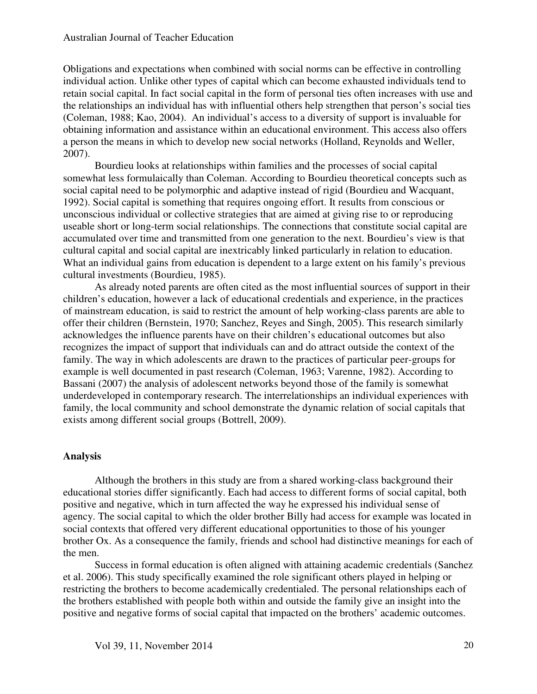Obligations and expectations when combined with social norms can be effective in controlling individual action. Unlike other types of capital which can become exhausted individuals tend to retain social capital. In fact social capital in the form of personal ties often increases with use and the relationships an individual has with influential others help strengthen that person's social ties (Coleman, 1988; Kao, 2004). An individual's access to a diversity of support is invaluable for obtaining information and assistance within an educational environment. This access also offers a person the means in which to develop new social networks (Holland, Reynolds and Weller, 2007).

 Bourdieu looks at relationships within families and the processes of social capital somewhat less formulaically than Coleman. According to Bourdieu theoretical concepts such as social capital need to be polymorphic and adaptive instead of rigid (Bourdieu and Wacquant, 1992). Social capital is something that requires ongoing effort. It results from conscious or unconscious individual or collective strategies that are aimed at giving rise to or reproducing useable short or long-term social relationships. The connections that constitute social capital are accumulated over time and transmitted from one generation to the next. Bourdieu's view is that cultural capital and social capital are inextricably linked particularly in relation to education. What an individual gains from education is dependent to a large extent on his family's previous cultural investments (Bourdieu, 1985).

 As already noted parents are often cited as the most influential sources of support in their children's education, however a lack of educational credentials and experience, in the practices of mainstream education, is said to restrict the amount of help working-class parents are able to offer their children (Bernstein, 1970; Sanchez, Reyes and Singh, 2005). This research similarly acknowledges the influence parents have on their children's educational outcomes but also recognizes the impact of support that individuals can and do attract outside the context of the family. The way in which adolescents are drawn to the practices of particular peer-groups for example is well documented in past research (Coleman, 1963; Varenne, 1982). According to Bassani (2007) the analysis of adolescent networks beyond those of the family is somewhat underdeveloped in contemporary research. The interrelationships an individual experiences with family, the local community and school demonstrate the dynamic relation of social capitals that exists among different social groups (Bottrell, 2009).

#### **Analysis**

 Although the brothers in this study are from a shared working-class background their educational stories differ significantly. Each had access to different forms of social capital, both positive and negative, which in turn affected the way he expressed his individual sense of agency. The social capital to which the older brother Billy had access for example was located in social contexts that offered very different educational opportunities to those of his younger brother Ox. As a consequence the family, friends and school had distinctive meanings for each of the men.

 Success in formal education is often aligned with attaining academic credentials (Sanchez et al. 2006). This study specifically examined the role significant others played in helping or restricting the brothers to become academically credentialed. The personal relationships each of the brothers established with people both within and outside the family give an insight into the positive and negative forms of social capital that impacted on the brothers' academic outcomes.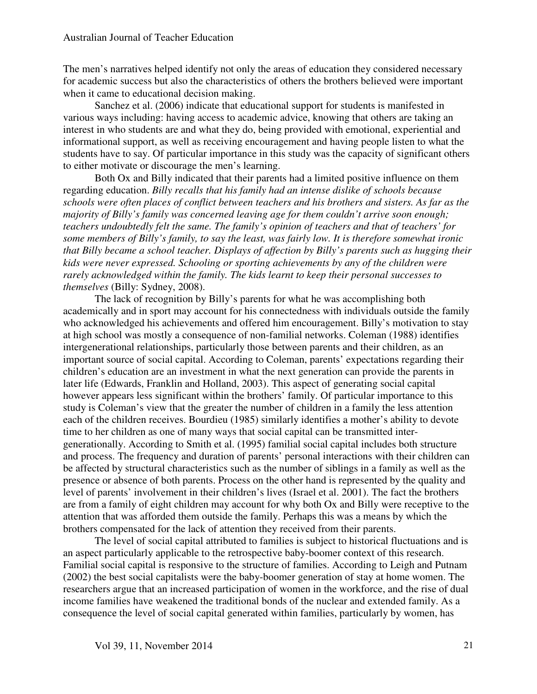The men's narratives helped identify not only the areas of education they considered necessary for academic success but also the characteristics of others the brothers believed were important when it came to educational decision making.

 Sanchez et al. (2006) indicate that educational support for students is manifested in various ways including: having access to academic advice, knowing that others are taking an interest in who students are and what they do, being provided with emotional, experiential and informational support, as well as receiving encouragement and having people listen to what the students have to say. Of particular importance in this study was the capacity of significant others to either motivate or discourage the men's learning.

 Both Ox and Billy indicated that their parents had a limited positive influence on them regarding education. *Billy recalls that his family had an intense dislike of schools because schools were often places of conflict between teachers and his brothers and sisters. As far as the majority of Billy's family was concerned leaving age for them couldn't arrive soon enough; teachers undoubtedly felt the same. The family's opinion of teachers and that of teachers' for some members of Billy's family, to say the least, was fairly low. It is therefore somewhat ironic that Billy became a school teacher. Displays of affection by Billy's parents such as hugging their kids were never expressed. Schooling or sporting achievements by any of the children were rarely acknowledged within the family. The kids learnt to keep their personal successes to themselves* (Billy: Sydney, 2008).

 The lack of recognition by Billy's parents for what he was accomplishing both academically and in sport may account for his connectedness with individuals outside the family who acknowledged his achievements and offered him encouragement. Billy's motivation to stay at high school was mostly a consequence of non-familial networks. Coleman (1988) identifies intergenerational relationships, particularly those between parents and their children, as an important source of social capital. According to Coleman, parents' expectations regarding their children's education are an investment in what the next generation can provide the parents in later life (Edwards, Franklin and Holland, 2003). This aspect of generating social capital however appears less significant within the brothers' family. Of particular importance to this study is Coleman's view that the greater the number of children in a family the less attention each of the children receives. Bourdieu (1985) similarly identifies a mother's ability to devote time to her children as one of many ways that social capital can be transmitted intergenerationally. According to Smith et al. (1995) familial social capital includes both structure and process. The frequency and duration of parents' personal interactions with their children can be affected by structural characteristics such as the number of siblings in a family as well as the presence or absence of both parents. Process on the other hand is represented by the quality and level of parents' involvement in their children's lives (Israel et al. 2001). The fact the brothers are from a family of eight children may account for why both Ox and Billy were receptive to the attention that was afforded them outside the family. Perhaps this was a means by which the brothers compensated for the lack of attention they received from their parents.

 The level of social capital attributed to families is subject to historical fluctuations and is an aspect particularly applicable to the retrospective baby-boomer context of this research. Familial social capital is responsive to the structure of families. According to Leigh and Putnam (2002) the best social capitalists were the baby-boomer generation of stay at home women. The researchers argue that an increased participation of women in the workforce, and the rise of dual income families have weakened the traditional bonds of the nuclear and extended family. As a consequence the level of social capital generated within families, particularly by women, has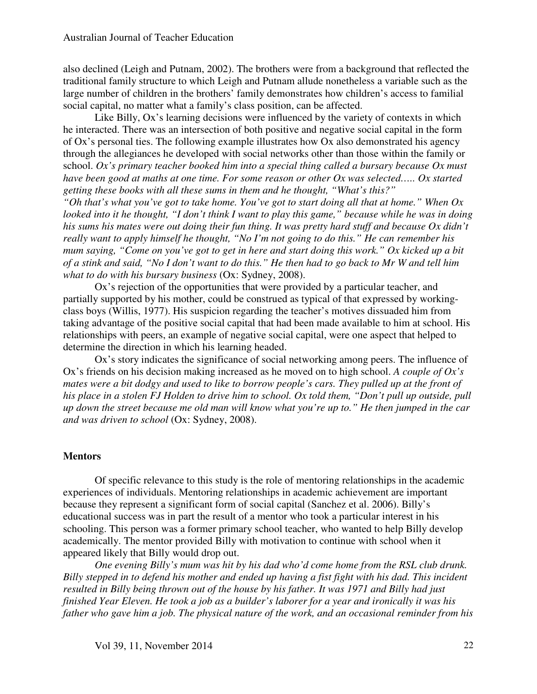also declined (Leigh and Putnam, 2002). The brothers were from a background that reflected the traditional family structure to which Leigh and Putnam allude nonetheless a variable such as the large number of children in the brothers' family demonstrates how children's access to familial social capital, no matter what a family's class position, can be affected.

 Like Billy, Ox's learning decisions were influenced by the variety of contexts in which he interacted. There was an intersection of both positive and negative social capital in the form of Ox's personal ties. The following example illustrates how Ox also demonstrated his agency through the allegiances he developed with social networks other than those within the family or school. *Ox's primary teacher booked him into a special thing called a bursary because Ox must have been good at maths at one time. For some reason or other Ox was selected….. Ox started getting these books with all these sums in them and he thought, "What's this?"* 

*"Oh that's what you've got to take home. You've got to start doing all that at home." When Ox looked into it he thought, "I don't think I want to play this game," because while he was in doing his sums his mates were out doing their fun thing. It was pretty hard stuff and because Ox didn't really want to apply himself he thought, "No I'm not going to do this." He can remember his mum saying, "Come on you've got to get in here and start doing this work." Ox kicked up a bit of a stink and said, "No I don't want to do this." He then had to go back to Mr W and tell him what to do with his bursary business* (Ox: Sydney, 2008).

 Ox's rejection of the opportunities that were provided by a particular teacher, and partially supported by his mother, could be construed as typical of that expressed by workingclass boys (Willis, 1977). His suspicion regarding the teacher's motives dissuaded him from taking advantage of the positive social capital that had been made available to him at school. His relationships with peers, an example of negative social capital, were one aspect that helped to determine the direction in which his learning headed.

 Ox's story indicates the significance of social networking among peers. The influence of Ox's friends on his decision making increased as he moved on to high school. *A couple of Ox's mates were a bit dodgy and used to like to borrow people's cars. They pulled up at the front of his place in a stolen FJ Holden to drive him to school. Ox told them, "Don't pull up outside, pull up down the street because me old man will know what you're up to." He then jumped in the car and was driven to school* (Ox: Sydney, 2008).

#### **Mentors**

 Of specific relevance to this study is the role of mentoring relationships in the academic experiences of individuals. Mentoring relationships in academic achievement are important because they represent a significant form of social capital (Sanchez et al. 2006). Billy's educational success was in part the result of a mentor who took a particular interest in his schooling. This person was a former primary school teacher, who wanted to help Billy develop academically. The mentor provided Billy with motivation to continue with school when it appeared likely that Billy would drop out.

*One evening Billy's mum was hit by his dad who'd come home from the RSL club drunk. Billy stepped in to defend his mother and ended up having a fist fight with his dad. This incident resulted in Billy being thrown out of the house by his father. It was 1971 and Billy had just finished Year Eleven. He took a job as a builder's laborer for a year and ironically it was his father who gave him a job. The physical nature of the work, and an occasional reminder from his*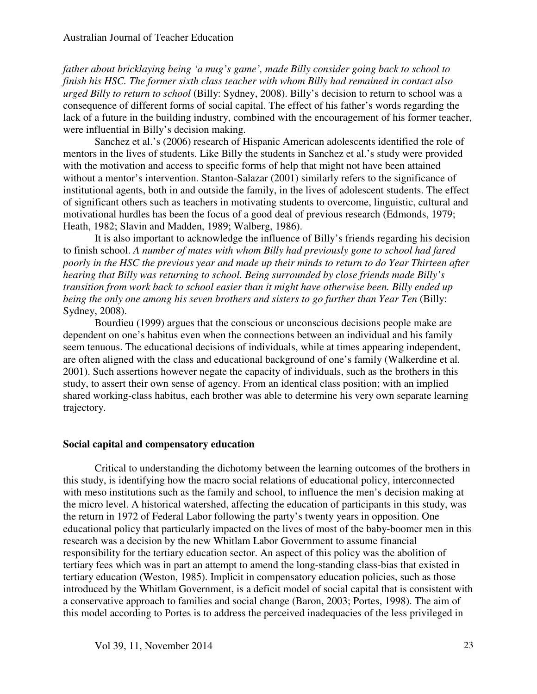*father about bricklaying being 'a mug's game', made Billy consider going back to school to finish his HSC. The former sixth class teacher with whom Billy had remained in contact also urged Billy to return to school* (Billy: Sydney, 2008). Billy's decision to return to school was a consequence of different forms of social capital. The effect of his father's words regarding the lack of a future in the building industry, combined with the encouragement of his former teacher, were influential in Billy's decision making.

 Sanchez et al.'s (2006) research of Hispanic American adolescents identified the role of mentors in the lives of students. Like Billy the students in Sanchez et al.'s study were provided with the motivation and access to specific forms of help that might not have been attained without a mentor's intervention. Stanton-Salazar (2001) similarly refers to the significance of institutional agents, both in and outside the family, in the lives of adolescent students. The effect of significant others such as teachers in motivating students to overcome, linguistic, cultural and motivational hurdles has been the focus of a good deal of previous research (Edmonds, 1979; Heath, 1982; Slavin and Madden, 1989; Walberg, 1986).

 It is also important to acknowledge the influence of Billy's friends regarding his decision to finish school. *A number of mates with whom Billy had previously gone to school had fared poorly in the HSC the previous year and made up their minds to return to do Year Thirteen after hearing that Billy was returning to school. Being surrounded by close friends made Billy's transition from work back to school easier than it might have otherwise been. Billy ended up being the only one among his seven brothers and sisters to go further than Year Ten* (Billy: Sydney, 2008).

 Bourdieu (1999) argues that the conscious or unconscious decisions people make are dependent on one's habitus even when the connections between an individual and his family seem tenuous. The educational decisions of individuals, while at times appearing independent, are often aligned with the class and educational background of one's family (Walkerdine et al. 2001). Such assertions however negate the capacity of individuals, such as the brothers in this study, to assert their own sense of agency. From an identical class position; with an implied shared working-class habitus, each brother was able to determine his very own separate learning trajectory.

#### **Social capital and compensatory education**

 Critical to understanding the dichotomy between the learning outcomes of the brothers in this study, is identifying how the macro social relations of educational policy, interconnected with meso institutions such as the family and school, to influence the men's decision making at the micro level. A historical watershed, affecting the education of participants in this study, was the return in 1972 of Federal Labor following the party's twenty years in opposition. One educational policy that particularly impacted on the lives of most of the baby-boomer men in this research was a decision by the new Whitlam Labor Government to assume financial responsibility for the tertiary education sector. An aspect of this policy was the abolition of tertiary fees which was in part an attempt to amend the long-standing class-bias that existed in tertiary education (Weston, 1985). Implicit in compensatory education policies, such as those introduced by the Whitlam Government, is a deficit model of social capital that is consistent with a conservative approach to families and social change (Baron, 2003; Portes, 1998). The aim of this model according to Portes is to address the perceived inadequacies of the less privileged in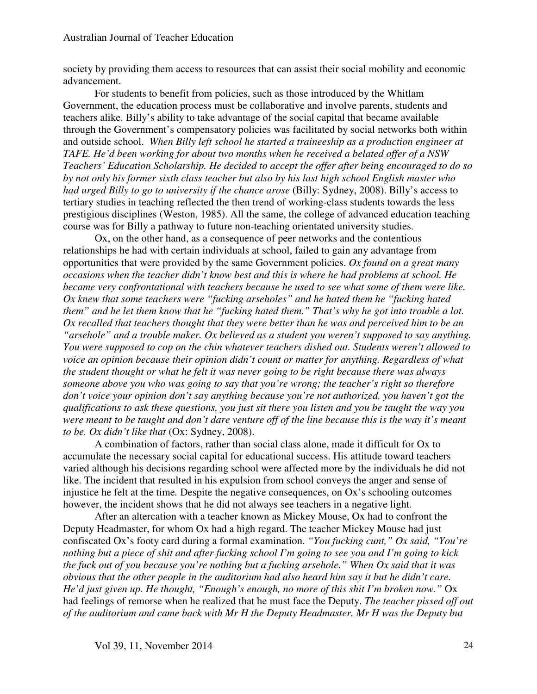society by providing them access to resources that can assist their social mobility and economic advancement.

 For students to benefit from policies, such as those introduced by the Whitlam Government, the education process must be collaborative and involve parents, students and teachers alike. Billy's ability to take advantage of the social capital that became available through the Government's compensatory policies was facilitated by social networks both within and outside school. *When Billy left school he started a traineeship as a production engineer at TAFE. He'd been working for about two months when he received a belated offer of a NSW Teachers' Education Scholarship. He decided to accept the offer after being encouraged to do so by not only his former sixth class teacher but also by his last high school English master who*  had urged Billy to go to university if the chance arose (Billy: Sydney, 2008). Billy's access to tertiary studies in teaching reflected the then trend of working-class students towards the less prestigious disciplines (Weston, 1985). All the same, the college of advanced education teaching course was for Billy a pathway to future non-teaching orientated university studies.

 Ox, on the other hand, as a consequence of peer networks and the contentious relationships he had with certain individuals at school, failed to gain any advantage from opportunities that were provided by the same Government policies. *Ox found on a great many occasions when the teacher didn't know best and this is where he had problems at school. He became very confrontational with teachers because he used to see what some of them were like. Ox knew that some teachers were "fucking arseholes" and he hated them he "fucking hated them" and he let them know that he "fucking hated them." That's why he got into trouble a lot. Ox recalled that teachers thought that they were better than he was and perceived him to be an "arsehole" and a trouble maker. Ox believed as a student you weren't supposed to say anything. You were supposed to cop on the chin whatever teachers dished out. Students weren't allowed to voice an opinion because their opinion didn't count or matter for anything. Regardless of what the student thought or what he felt it was never going to be right because there was always someone above you who was going to say that you're wrong; the teacher's right so therefore don't voice your opinion don't say anything because you're not authorized, you haven't got the qualifications to ask these questions, you just sit there you listen and you be taught the way you were meant to be taught and don't dare venture off of the line because this is the way it's meant to be. Ox didn't like that* (Ox: Sydney, 2008).

 A combination of factors, rather than social class alone, made it difficult for Ox to accumulate the necessary social capital for educational success. His attitude toward teachers varied although his decisions regarding school were affected more by the individuals he did not like. The incident that resulted in his expulsion from school conveys the anger and sense of injustice he felt at the time*.* Despite the negative consequences, on Ox's schooling outcomes however, the incident shows that he did not always see teachers in a negative light.

 After an altercation with a teacher known as Mickey Mouse, Ox had to confront the Deputy Headmaster, for whom Ox had a high regard. The teacher Mickey Mouse had just confiscated Ox's footy card during a formal examination. *"You fucking cunt," Ox said, "You're nothing but a piece of shit and after fucking school I'm going to see you and I'm going to kick the fuck out of you because you're nothing but a fucking arsehole." When Ox said that it was obvious that the other people in the auditorium had also heard him say it but he didn't care. He'd just given up. He thought, "Enough's enough, no more of this shit I'm broken now."* Ox had feelings of remorse when he realized that he must face the Deputy. *The teacher pissed off out of the auditorium and came back with Mr H the Deputy Headmaster. Mr H was the Deputy but*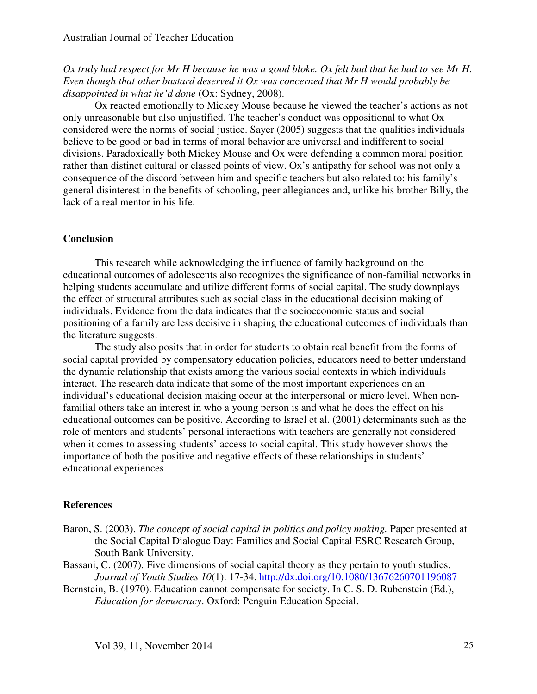*Ox truly had respect for Mr H because he was a good bloke. Ox felt bad that he had to see Mr H. Even though that other bastard deserved it Ox was concerned that Mr H would probably be disappointed in what he'd done* (Ox: Sydney, 2008).

 Ox reacted emotionally to Mickey Mouse because he viewed the teacher's actions as not only unreasonable but also unjustified. The teacher's conduct was oppositional to what Ox considered were the norms of social justice. Sayer (2005) suggests that the qualities individuals believe to be good or bad in terms of moral behavior are universal and indifferent to social divisions. Paradoxically both Mickey Mouse and Ox were defending a common moral position rather than distinct cultural or classed points of view. Ox's antipathy for school was not only a consequence of the discord between him and specific teachers but also related to: his family's general disinterest in the benefits of schooling, peer allegiances and, unlike his brother Billy, the lack of a real mentor in his life.

#### **Conclusion**

 This research while acknowledging the influence of family background on the educational outcomes of adolescents also recognizes the significance of non-familial networks in helping students accumulate and utilize different forms of social capital. The study downplays the effect of structural attributes such as social class in the educational decision making of individuals. Evidence from the data indicates that the socioeconomic status and social positioning of a family are less decisive in shaping the educational outcomes of individuals than the literature suggests.

 The study also posits that in order for students to obtain real benefit from the forms of social capital provided by compensatory education policies, educators need to better understand the dynamic relationship that exists among the various social contexts in which individuals interact. The research data indicate that some of the most important experiences on an individual's educational decision making occur at the interpersonal or micro level. When nonfamilial others take an interest in who a young person is and what he does the effect on his educational outcomes can be positive. According to Israel et al. (2001) determinants such as the role of mentors and students' personal interactions with teachers are generally not considered when it comes to assessing students' access to social capital. This study however shows the importance of both the positive and negative effects of these relationships in students' educational experiences.

#### **References**

- Baron, S. (2003). *The concept of social capital in politics and policy making.* Paper presented at the Social Capital Dialogue Day: Families and Social Capital ESRC Research Group, South Bank University.
- Bassani, C. (2007). Five dimensions of social capital theory as they pertain to youth studies. *Journal of Youth Studies 10*(1): 17-34. http://dx.doi.org/10.1080/13676260701196087
- Bernstein, B. (1970). Education cannot compensate for society. In C. S. D. Rubenstein (Ed.), *Education for democracy*. Oxford: Penguin Education Special.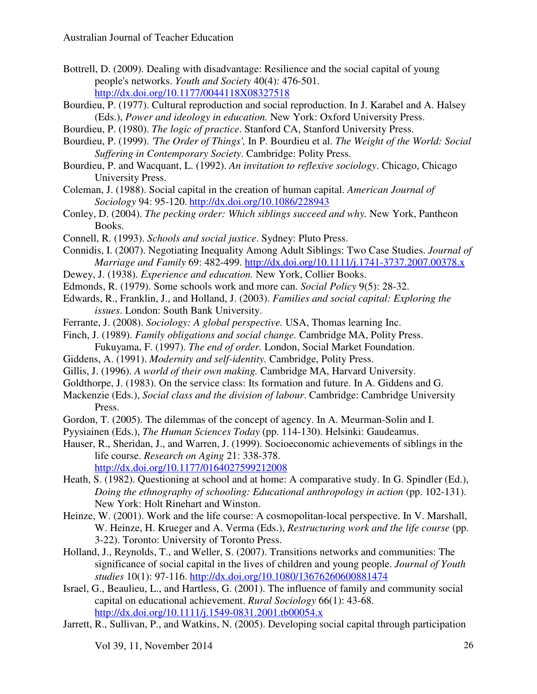- Bottrell, D. (2009). Dealing with disadvantage: Resilience and the social capital of young people's networks. *Youth and Society* 40(4): 476-501. http://dx.doi.org/10.1177/0044118X08327518
- Bourdieu, P. (1977). Cultural reproduction and social reproduction. In J. Karabel and A. Halsey (Eds.), *Power and ideology in education.* New York: Oxford University Press.
- Bourdieu, P. (1980). *The logic of practice*. Stanford CA, Stanford University Press.
- Bourdieu, P. (1999). *'The Order of Things',* In P. Bourdieu et al. *The Weight of the World: Social Suffering in Contemporary Society*. Cambridge: Polity Press.
- Bourdieu, P. and Wacquant, L. (1992). *An invitation to reflexive sociology*. Chicago, Chicago University Press.
- Coleman, J. (1988). Social capital in the creation of human capital. *American Journal of Sociology* 94: 95-120. http://dx.doi.org/10.1086/228943
- Conley, D. (2004). *The pecking order: Which siblings succeed and why.* New York, Pantheon Books.
- Connell, R. (1993). *Schools and social justice*. Sydney: Pluto Press.
- Connidis, I. (2007). Negotiating Inequality Among Adult Siblings: Two Case Studies. *Journal of Marriage and Family* 69: 482-499. http://dx.doi.org/10.1111/j.1741-3737.2007.00378.x
- Dewey, J. (1938). *Experience and education.* New York, Collier Books.
- Edmonds, R. (1979). Some schools work and more can. *Social Policy* 9(5): 28-32.
- Edwards, R., Franklin, J., and Holland, J. (2003). *Families and social capital: Exploring the issues*. London: South Bank University.
- Ferrante, J. (2008). *Sociology: A global perspective.* USA, Thomas learning Inc.
- Finch, J. (1989). *Family obligations and social change.* Cambridge MA, Polity Press. Fukuyama, F. (1997). *The end of order.* London, Social Market Foundation.
- Giddens, A. (1991). *Modernity and self-identity.* Cambridge, Polity Press.
- Gillis, J. (1996). *A world of their own making.* Cambridge MA, Harvard University.
- Goldthorpe, J. (1983). On the service class: Its formation and future. In A. Giddens and G.
- Mackenzie (Eds.), *Social class and the division of labour*. Cambridge: Cambridge University Press.
- Gordon, T. (2005). The dilemmas of the concept of agency. In A. Meurman-Solin and I.
- Pyysiainen (Eds.), *The Human Sciences Today* (pp. 114-130). Helsinki: Gaudeamus.
- Hauser, R., Sheridan, J., and Warren, J. (1999). Socioeconomic achievements of siblings in the life course. *Research on Aging* 21: 338-378. http://dx.doi.org/10.1177/0164027599212008
- Heath, S. (1982). Questioning at school and at home: A comparative study. In G. Spindler (Ed.),
- *Doing the ethnography of schooling: Educational anthropology in action* (pp. 102-131). New York: Holt Rinehart and Winston.
- Heinze, W. (2001). Work and the life course: A cosmopolitan-local perspective. In V. Marshall, W. Heinze, H. Krueger and A. Verma (Eds.), *Restructuring work and the life course* (pp. 3-22). Toronto: University of Toronto Press.
- Holland, J., Reynolds, T., and Weller, S. (2007). Transitions networks and communities: The significance of social capital in the lives of children and young people. *Journal of Youth studies* 10(1): 97-116. http://dx.doi.org/10.1080/13676260600881474
- Israel, G., Beaulieu, L., and Hartless, G. (2001). The influence of family and community social capital on educational achievement. *Rural Sociology* 66(1): 43-68. http://dx.doi.org/10.1111/j.1549-0831.2001.tb00054.x
- Jarrett, R., Sullivan, P., and Watkins, N. (2005). Developing social capital through participation

Vol 39, 11, November 2014 26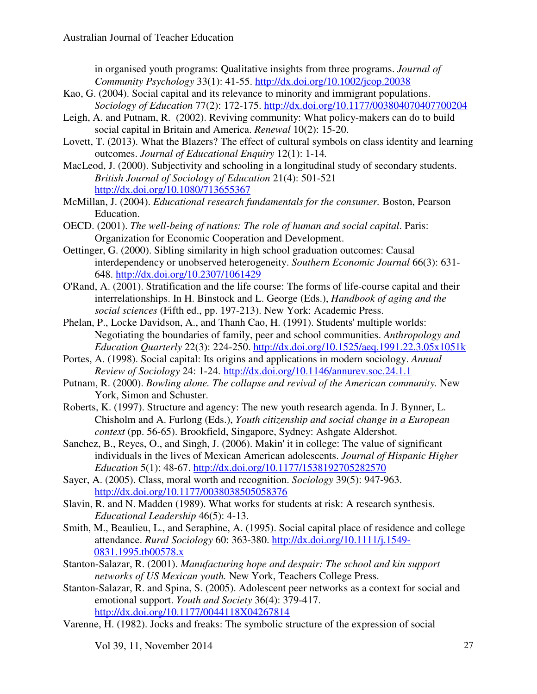in organised youth programs: Qualitative insights from three programs. *Journal of Community Psychology* 33(1): 41-55. http://dx.doi.org/10.1002/jcop.20038

- Kao, G. (2004). Social capital and its relevance to minority and immigrant populations. *Sociology of Education* 77(2): 172-175. http://dx.doi.org/10.1177/003804070407700204
- Leigh, A. and Putnam, R. (2002). Reviving community: What policy-makers can do to build social capital in Britain and America. *Renewal* 10(2): 15-20.
- Lovett, T. (2013). What the Blazers? The effect of cultural symbols on class identity and learning outcomes. *Journal of Educational Enquiry* 12(1): 1-14*.*
- MacLeod, J. (2000). Subjectivity and schooling in a longitudinal study of secondary students. *British Journal of Sociology of Education* 21(4): 501-521 http://dx.doi.org/10.1080/713655367
- McMillan, J. (2004). *Educational research fundamentals for the consumer.* Boston, Pearson Education.
- OECD. (2001). *The well-being of nations: The role of human and social capital*. Paris: Organization for Economic Cooperation and Development.
- Oettinger, G. (2000). Sibling similarity in high school graduation outcomes: Causal interdependency or unobserved heterogeneity. *Southern Economic Journal* 66(3): 631- 648. http://dx.doi.org/10.2307/1061429
- O'Rand, A. (2001). Stratification and the life course: The forms of life-course capital and their interrelationships. In H. Binstock and L. George (Eds.), *Handbook of aging and the social sciences* (Fifth ed., pp. 197-213). New York: Academic Press.
- Phelan, P., Locke Davidson, A., and Thanh Cao, H. (1991). Students' multiple worlds: Negotiating the boundaries of family, peer and school communities. *Anthropology and Education Quarterly* 22(3): 224-250. http://dx.doi.org/10.1525/aeq.1991.22.3.05x1051k
- Portes, A. (1998). Social capital: Its origins and applications in modern sociology. *Annual Review of Sociology* 24: 1-24. http://dx.doi.org/10.1146/annurev.soc.24.1.1
- Putnam, R. (2000). *Bowling alone. The collapse and revival of the American community.* New York, Simon and Schuster.
- Roberts, K. (1997). Structure and agency: The new youth research agenda. In J. Bynner, L. Chisholm and A. Furlong (Eds.), *Youth citizenship and social change in a European context* (pp. 56-65). Brookfield, Singapore, Sydney: Ashgate Aldershot.
- Sanchez, B., Reyes, O., and Singh, J. (2006). Makin' it in college: The value of significant individuals in the lives of Mexican American adolescents. *Journal of Hispanic Higher Education* 5(1): 48-67. http://dx.doi.org/10.1177/1538192705282570
- Sayer, A. (2005). Class, moral worth and recognition. *Sociology* 39(5): 947-963. http://dx.doi.org/10.1177/0038038505058376
- Slavin, R. and N. Madden (1989). What works for students at risk: A research synthesis. *Educational Leadership* 46(5): 4-13.
- Smith, M., Beaulieu, L., and Seraphine, A. (1995). Social capital place of residence and college attendance. *Rural Sociology* 60: 363-380. http://dx.doi.org/10.1111/j.1549- 0831.1995.tb00578.x
- Stanton-Salazar, R. (2001). *Manufacturing hope and despair: The school and kin support networks of US Mexican youth.* New York, Teachers College Press.
- Stanton-Salazar, R. and Spina, S. (2005). Adolescent peer networks as a context for social and emotional support. *Youth and Society* 36(4): 379-417. http://dx.doi.org/10.1177/0044118X04267814
- Varenne, H. (1982). Jocks and freaks: The symbolic structure of the expression of social

Vol 39, 11, November 2014 27